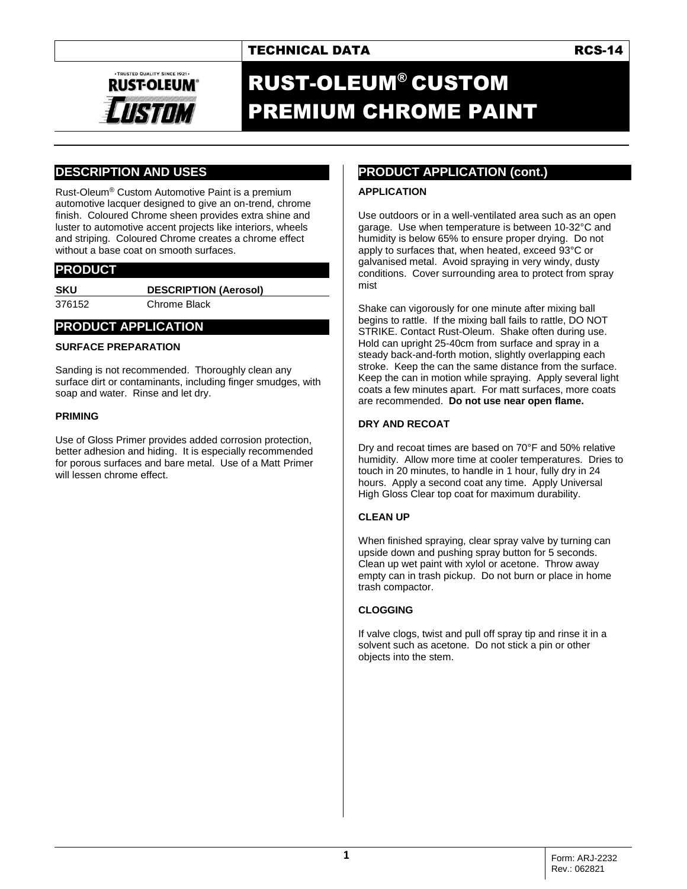# TECHNICAL DATA **RCS-14**



# RUST-OLEUM® CUSTOM PREMIUM CHROME PAINT

# **DESCRIPTION AND USES**

Rust-Oleum® Custom Automotive Paint is a premium automotive lacquer designed to give an on-trend, chrome finish. Coloured Chrome sheen provides extra shine and luster to automotive accent projects like interiors, wheels and striping. Coloured Chrome creates a chrome effect without a base coat on smooth surfaces.

### **PRODUCT**

**SKU DESCRIPTION (Aerosol)**

376152 Chrome Black

### **PRODUCT APPLICATION**

#### **SURFACE PREPARATION**

Sanding is not recommended. Thoroughly clean any surface dirt or contaminants, including finger smudges, with soap and water. Rinse and let dry.

#### **PRIMING**

Use of Gloss Primer provides added corrosion protection, better adhesion and hiding. It is especially recommended for porous surfaces and bare metal. Use of a Matt Primer will lessen chrome effect.

## **PRODUCT APPLICATION (cont.)**

#### **APPLICATION**

Use outdoors or in a well-ventilated area such as an open garage. Use when temperature is between 10-32°C and humidity is below 65% to ensure proper drying. Do not apply to surfaces that, when heated, exceed 93°C or galvanised metal. Avoid spraying in very windy, dusty conditions. Cover surrounding area to protect from spray mist

Shake can vigorously for one minute after mixing ball begins to rattle. If the mixing ball fails to rattle, DO NOT STRIKE. Contact Rust-Oleum. Shake often during use. Hold can upright 25-40cm from surface and spray in a steady back-and-forth motion, slightly overlapping each stroke. Keep the can the same distance from the surface. Keep the can in motion while spraying. Apply several light coats a few minutes apart. For matt surfaces, more coats are recommended. **Do not use near open flame.**

#### **DRY AND RECOAT**

Dry and recoat times are based on 70°F and 50% relative humidity. Allow more time at cooler temperatures. Dries to touch in 20 minutes, to handle in 1 hour, fully dry in 24 hours. Apply a second coat any time. Apply Universal High Gloss Clear top coat for maximum durability.

#### **CLEAN UP**

When finished spraying, clear spray valve by turning can upside down and pushing spray button for 5 seconds. Clean up wet paint with xylol or acetone. Throw away empty can in trash pickup. Do not burn or place in home trash compactor.

#### **CLOGGING**

If valve clogs, twist and pull off spray tip and rinse it in a solvent such as acetone. Do not stick a pin or other objects into the stem.